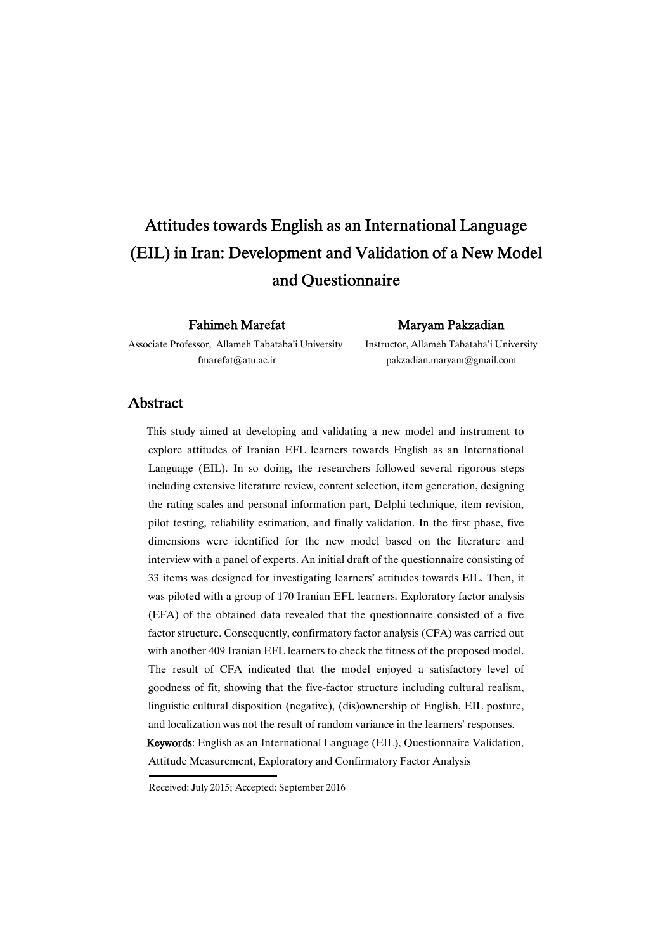# Attitudes towards English as an International Language (EIL) in Iran: Development and Validation of a New Model and Ouestionnaire

Fahimeh Marefat

Maryam�Pakzadian�

Associate Professor, Allameh Tabataba'i University fmarefat@atu.ac.ir

### Instructor, Allameh Tabataba'i University pakzadian.maryam@gmail.com

## **Abstract**

This study aimed at developing and validating a new model and instrument to explore attitudes of Iranian EFL learners towards English as an International Language (EIL). In so doing, the researchers followed several rigorous steps including extensive literature review, content selection, item generation, designing the rating scales and personal information part, Delphi technique, item revision, pilot testing, reliability estimation, and finally validation. In the first phase, five dimensions were identified for the new model based on the literature and interview with a panel of experts. An initial draft of the questionnaire consisting of 33 items was designed for investigating learners' attitudes towards EIL. Then, it was piloted with a group of 170 Iranian EFL learners. Exploratory factor analysis (EFA) of the obtained data revealed that the questionnaire consisted of a five factor structure. Consequently, confirmatory factor analysis (CFA) was carried out with another 409 Iranian EFL learners to check the fitness of the proposed model. The result of CFA indicated that the model enjoyed a satisfactory level of goodness of fit, showing that the five-factor structure including cultural realism, linguistic cultural disposition (negative), (dis)ownership of English, EIL posture, and localization was not the result of random variance in the learners' responses. Keywords: English as an International Language (EIL), Questionnaire Validation, Attitude Measurement, Exploratory and Confirmatory Factor Analysis

Received: July 2015; Accepted: September 2016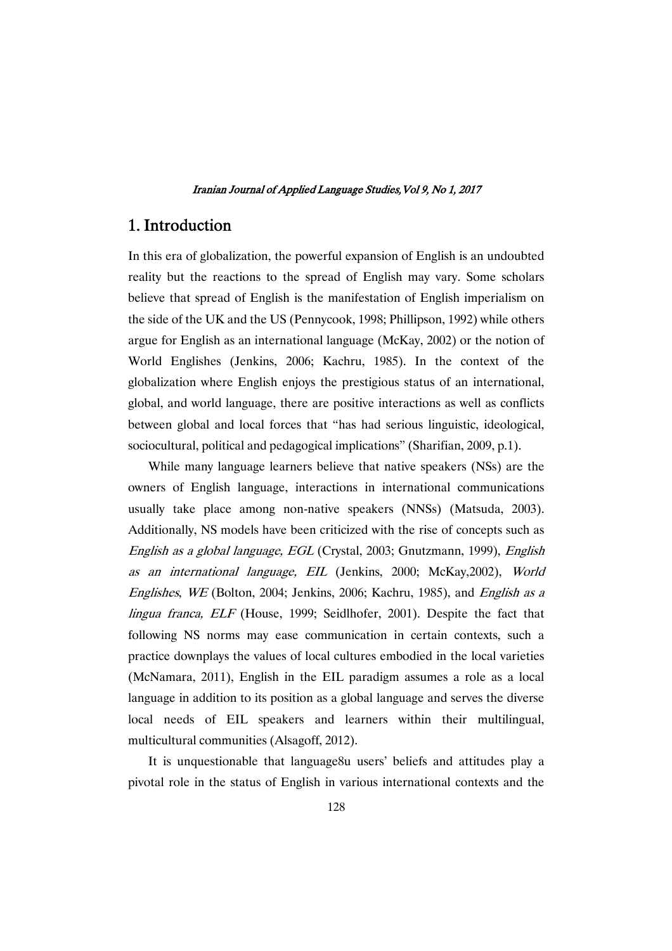## 1. Introduction

In this era of globalization, the powerful expansion of English is an undoubted reality but the reactions to the spread of English may vary. Some scholars believe that spread of English is the manifestation of English imperialism on the side of the UK and the US (Pennycook, 1998; Phillipson, 1992) while others argue for English as an international language (McKay, 2002) or the notion of World Englishes (Jenkins, 2006; Kachru, 1985). In the context of the globalization where English enjoys the prestigious status of an international, global, and world language, there are positive interactions as well as conflicts between global and local forces that "has had serious linguistic, ideological, sociocultural, political and pedagogical implications" (Sharifian, 2009, p.1).

While many language learners believe that native speakers (NSs) are the owners of English language, interactions in international communications usually take place among non-native speakers (NNSs) (Matsuda, 2003). Additionally, NS models have been criticized with the rise of concepts such as English as <sup>a</sup> global language, EGL (Crystal, 2003; Gnutzmann, 1999), English as an international language, EIL (Jenkins, 2000; McKay,2002), World Englishes, WE (Bolton, 2004; Jenkins, 2006; Kachru, 1985), and English as <sup>a</sup> lingua franca, ELF (House, 1999; Seidlhofer, 2001). Despite the fact that following NS norms may ease communication in certain contexts, such a practice downplays the values of local cultures embodied in the local varieties (McNamara, 2011), English in the EIL paradigm assumes a role as a local language in addition to its position as a global language and serves the diverse local needs of EIL speakers and learners within their multilingual, multicultural communities (Alsagoff, 2012).

It is unquestionable that language8u users' beliefs and attitudes play a pivotal role in the status of English in various international contexts and the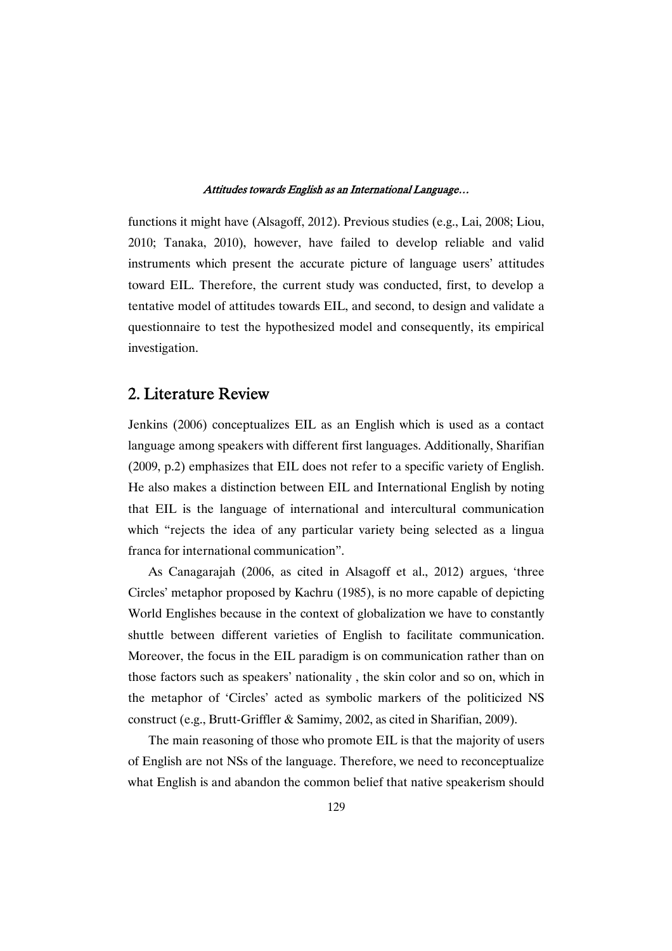functions it might have (Alsagoff, 2012). Previous studies (e.g., Lai, 2008; Liou, 2010; Tanaka, 2010), however, have failed to develop reliable and valid instruments which present the accurate picture of language users' attitudes toward EIL. Therefore, the current study was conducted, first, to develop a tentative model of attitudes towards EIL, and second, to design and validate a questionnaire to test the hypothesized model and consequently, its empirical investigation.

## 2. Literature Review

Jenkins (2006) conceptualizes EIL as an English which is used as a contact language among speakers with different first languages. Additionally, Sharifian (2009, p.2) emphasizes that EIL does not refer to a specific variety of English. He also makes a distinction between EIL and International English by noting that EIL is the language of international and intercultural communication which "rejects the idea of any particular variety being selected as a lingua franca for international communication".

As Canagarajah (2006, as cited in Alsagoff et al., 2012) argues, 'three Circles' metaphor proposed by Kachru (1985), is no more capable of depicting World Englishes because in the context of globalization we have to constantly shuttle between different varieties of English to facilitate communication. Moreover, the focus in the EIL paradigm is on communication rather than on those factors such as speakers' nationality , the skin color and so on, which in the metaphor of 'Circles' acted as symbolic markers of the politicized NS construct (e.g., Brutt-Griffler & Samimy, 2002, as cited in Sharifian, 2009).

The main reasoning of those who promote EIL is that the majority of users of English are not NSs of the language. Therefore, we need to reconceptualize what English is and abandon the common belief that native speakerism should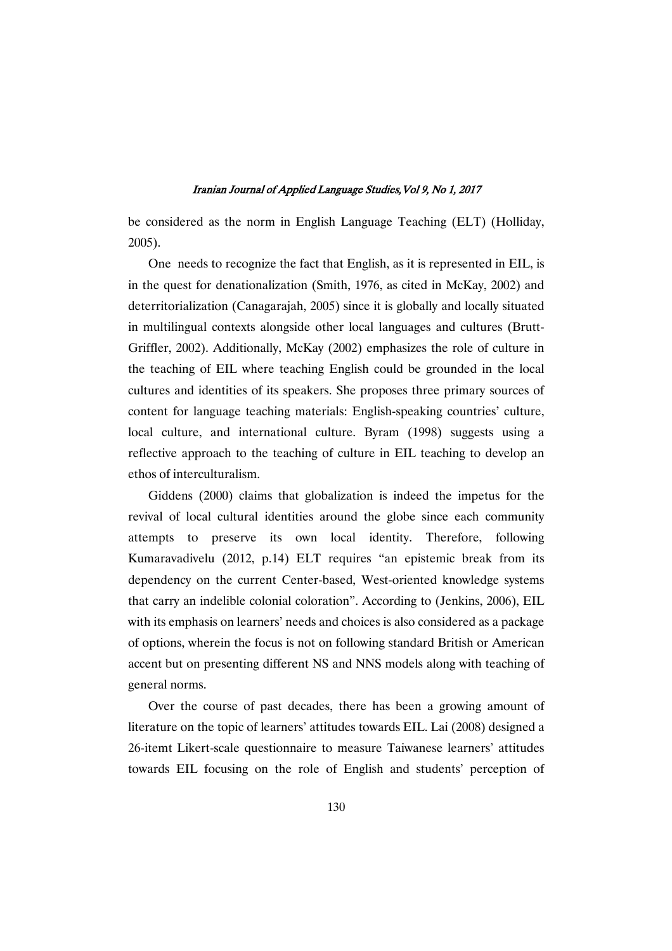be considered as the norm in English Language Teaching (ELT) (Holliday, 2005).

One needs to recognize the fact that English, as it is represented in EIL, is in the quest for denationalization (Smith, 1976, as cited in McKay, 2002) and deterritorialization (Canagarajah, 2005) since it is globally and locally situated in multilingual contexts alongside other local languages and cultures (Brutt-Griffler, 2002). Additionally, McKay (2002) emphasizes the role of culture in the teaching of EIL where teaching English could be grounded in the local cultures and identities of its speakers. She proposes three primary sources of content for language teaching materials: English-speaking countries' culture, local culture, and international culture. Byram (1998) suggests using a reflective approach to the teaching of culture in EIL teaching to develop an ethos of interculturalism.

Giddens (2000) claims that globalization is indeed the impetus for the revival of local cultural identities around the globe since each community attempts to preserve its own local identity. Therefore, following Kumaravadivelu (2012, p.14) ELT requires "an epistemic break from its dependency on the current Center-based, West-oriented knowledge systems that carry an indelible colonial coloration". According to (Jenkins, 2006), EIL with its emphasis on learners' needs and choices is also considered as a package of options, wherein the focus is not on following standard British or American accent but on presenting different NS and NNS models along with teaching of general norms.

Over the course of past decades, there has been a growing amount of literature on the topic of learners' attitudes towards EIL. Lai (2008) designed a 26-itemt Likert-scale questionnaire to measure Taiwanese learners' attitudes towards EIL focusing on the role of English and students' perception of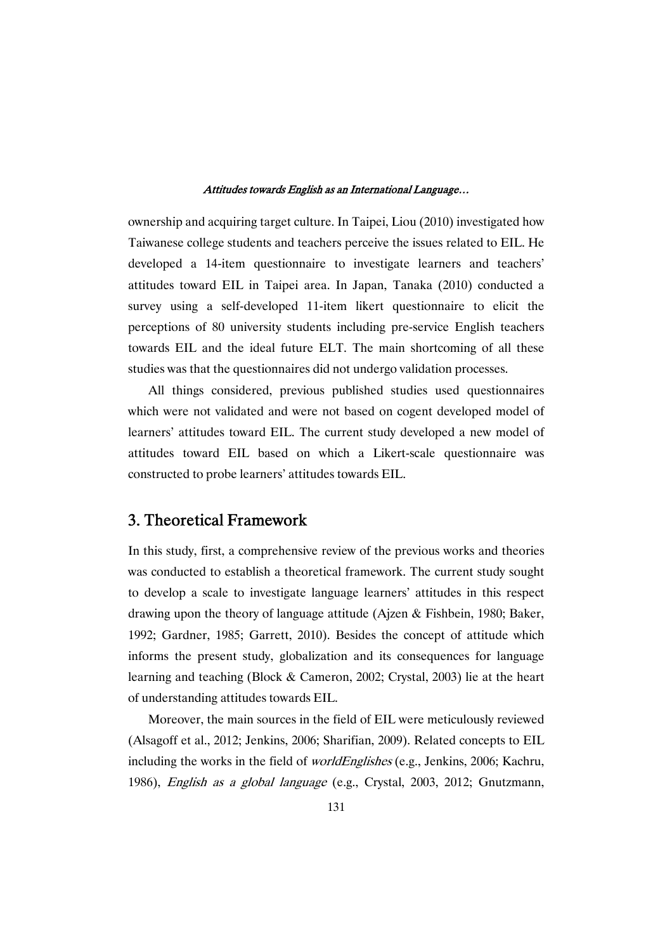ownership and acquiring target culture. In Taipei, Liou (2010) investigated how Taiwanese college students and teachers perceive the issues related to EIL. He developed a 14-item questionnaire to investigate learners and teachers' attitudes toward EIL in Taipei area. In Japan, Tanaka (2010) conducted a survey using a self-developed 11-item likert questionnaire to elicit the perceptions of 80 university students including pre-service English teachers towards EIL and the ideal future ELT. The main shortcoming of all these studies was that the questionnaires did not undergo validation processes.

All things considered, previous published studies used questionnaires which were not validated and were not based on cogent developed model of learners' attitudes toward EIL. The current study developed a new model of attitudes toward EIL based on which a Likert-scale questionnaire was constructed to probe learners' attitudes towards EIL.

## 3. Theoretical Framework

In this study, first, a comprehensive review of the previous works and theories was conducted to establish a theoretical framework. The current study sought to develop a scale to investigate language learners' attitudes in this respect drawing upon the theory of language attitude (Ajzen & Fishbein, 1980; Baker, 1992; Gardner, 1985; Garrett, 2010). Besides the concept of attitude which informs the present study, globalization and its consequences for language learning and teaching (Block & Cameron, 2002; Crystal, 2003) lie at the heart of understanding attitudes towards EIL.

Moreover, the main sources in the field of EIL were meticulously reviewed (Alsagoff et al., 2012; Jenkins, 2006; Sharifian, 2009). Related concepts to EIL including the works in the field of worldEnglishes (e.g., Jenkins, 2006; Kachru, 1986), English as <sup>a</sup> global language (e.g., Crystal, 2003, 2012; Gnutzmann,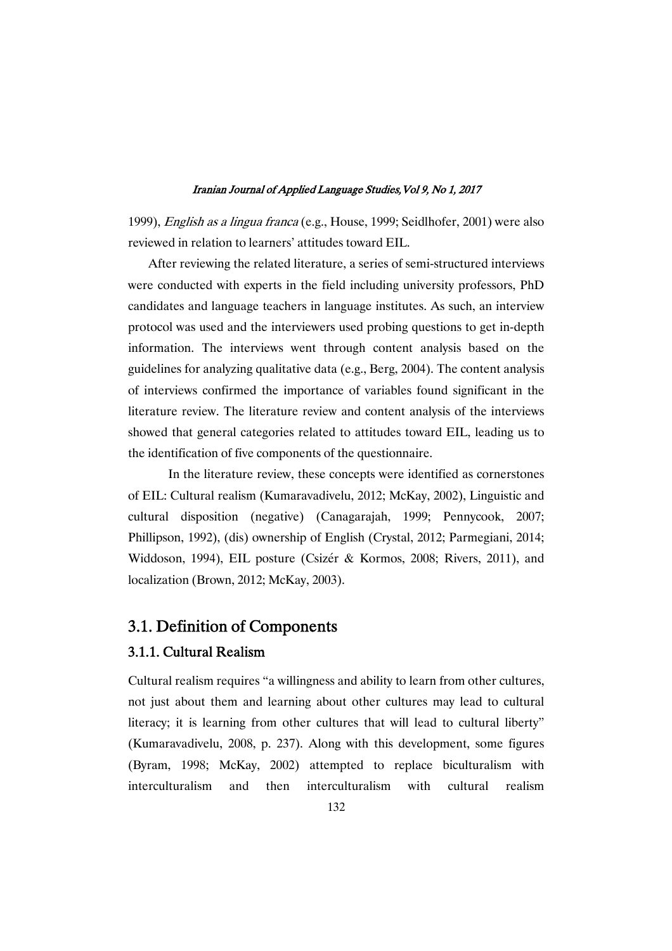1999), English as <sup>a</sup> lingua franca (e.g., House, 1999; Seidlhofer, 2001) were also reviewed in relation to learners' attitudes toward EIL.

After reviewing the related literature, a series of semi-structured interviews were conducted with experts in the field including university professors, PhD candidates and language teachers in language institutes. As such, an interview protocol was used and the interviewers used probing questions to get in-depth information. The interviews went through content analysis based on the guidelines for analyzing qualitative data (e.g., Berg, 2004). The content analysis of interviews confirmed the importance of variables found significant in the literature review. The literature review and content analysis of the interviews showed that general categories related to attitudes toward EIL, leading us to the identification of five components of the questionnaire.

In the literature review, these concepts were identified as cornerstones of EIL: Cultural realism (Kumaravadivelu, 2012; McKay, 2002), Linguistic and cultural disposition (negative) (Canagarajah, 1999; Pennycook, 2007; Phillipson, 1992), (dis) ownership of English (Crystal, 2012; Parmegiani, 2014; Widdoson, 1994), EIL posture (Csizér & Kormos, 2008; Rivers, 2011), and localization (Brown, 2012; McKay, 2003).

## 3.1. Definition of Components

## 3.1.1. Cultural Realism

Cultural realism requires "a willingness and ability to learn from other cultures, not just about them and learning about other cultures may lead to cultural literacy; it is learning from other cultures that will lead to cultural liberty" (Kumaravadivelu, 2008, p. 237). Along with this development, some figures (Byram, 1998; McKay, 2002) attempted to replace biculturalism with interculturalism and then interculturalism with cultural realism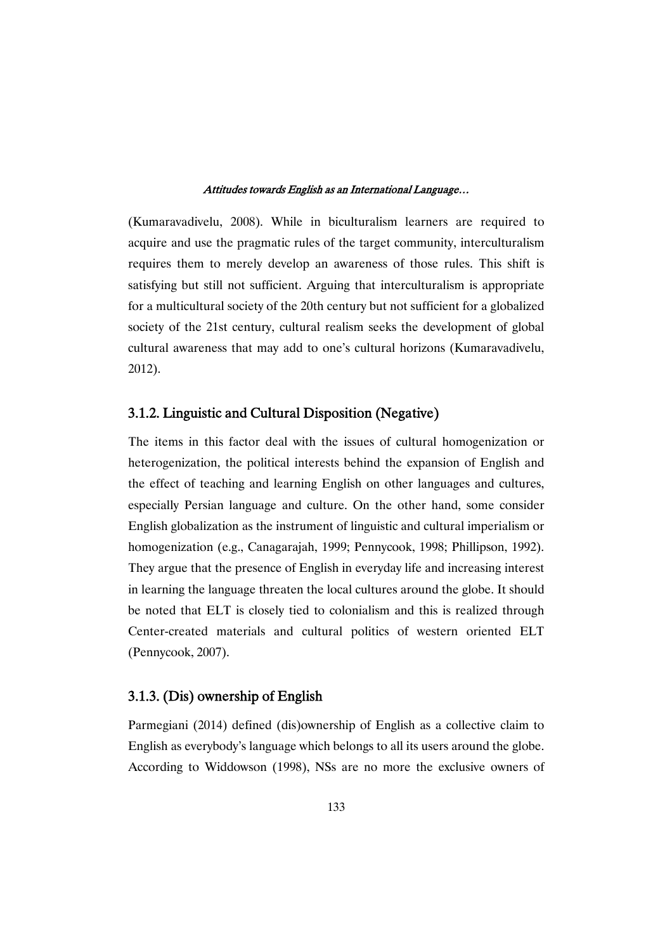(Kumaravadivelu, 2008). While in biculturalism learners are required to acquire and use the pragmatic rules of the target community, interculturalism requires them to merely develop an awareness of those rules. This shift is satisfying but still not sufficient. Arguing that interculturalism is appropriate for a multicultural society of the 20th century but not sufficient for a globalized society of the 21st century, cultural realism seeks the development of global cultural awareness that may add to one's cultural horizons (Kumaravadivelu, 2012).

## 3.1.2. Linguistic and Cultural Disposition (Negative)

The items in this factor deal with the issues of cultural homogenization or heterogenization, the political interests behind the expansion of English and the effect of teaching and learning English on other languages and cultures, especially Persian language and culture. On the other hand, some consider English globalization as the instrument of linguistic and cultural imperialism or homogenization (e.g., Canagarajah, 1999; Pennycook, 1998; Phillipson, 1992). They argue that the presence of English in everyday life and increasing interest in learning the language threaten the local cultures around the globe. It should be noted that ELT is closely tied to colonialism and this is realized through Center-created materials and cultural politics of western oriented ELT (Pennycook, 2007).

## 3.1.3. (Dis) ownership of English

Parmegiani (2014) defined (dis)ownership of English as a collective claim to English as everybody's language which belongs to all its users around the globe. According to Widdowson (1998), NSs are no more the exclusive owners of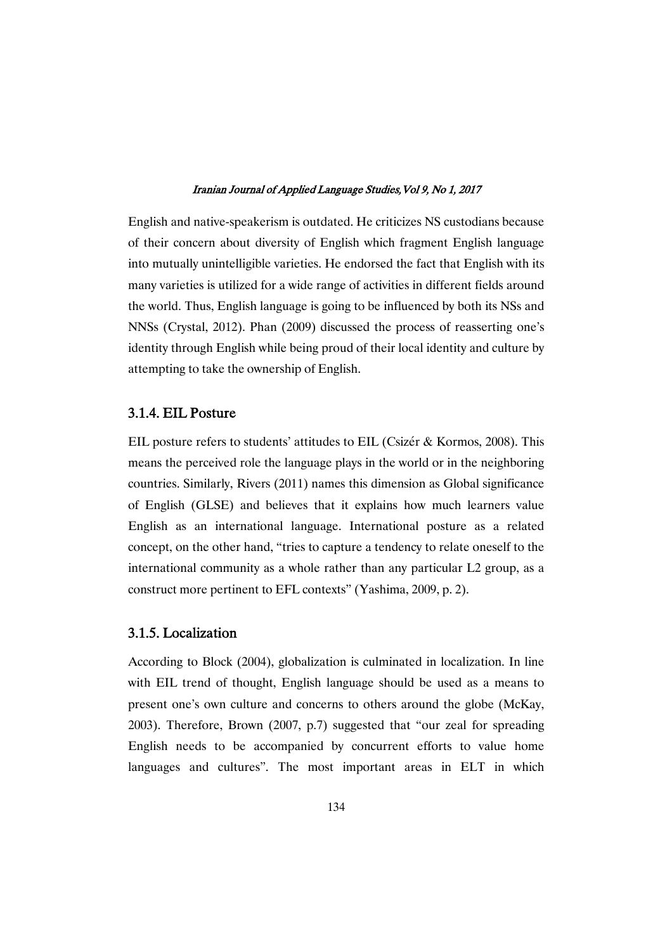English and native-speakerism is outdated. He criticizes NS custodians because of their concern about diversity of English which fragment English language into mutually unintelligible varieties. He endorsed the fact that English with its many varieties is utilized for a wide range of activities in different fields around the world. Thus, English language is going to be influenced by both its NSs and NNSs (Crystal, 2012). Phan (2009) discussed the process of reasserting one's identity through English while being proud of their local identity and culture by attempting to take the ownership of English.

### 3.1.4. EIL Posture

EIL posture refers to students' attitudes to EIL (Csizér & Kormos, 2008). This means the perceived role the language plays in the world or in the neighboring countries. Similarly, Rivers (2011) names this dimension as Global significance of English (GLSE) and believes that it explains how much learners value English as an international language. International posture as a related concept, on the other hand, "tries to capture a tendency to relate oneself to the international community as a whole rather than any particular L2 group, as a construct more pertinent to EFL contexts" (Yashima, 2009, p. 2).

### 3.1.5. Localization

According to Block (2004), globalization is culminated in localization. In line with EIL trend of thought, English language should be used as a means to present one's own culture and concerns to others around the globe (McKay, 2003). Therefore, Brown (2007, p.7) suggested that "our zeal for spreading English needs to be accompanied by concurrent efforts to value home languages and cultures". The most important areas in ELT in which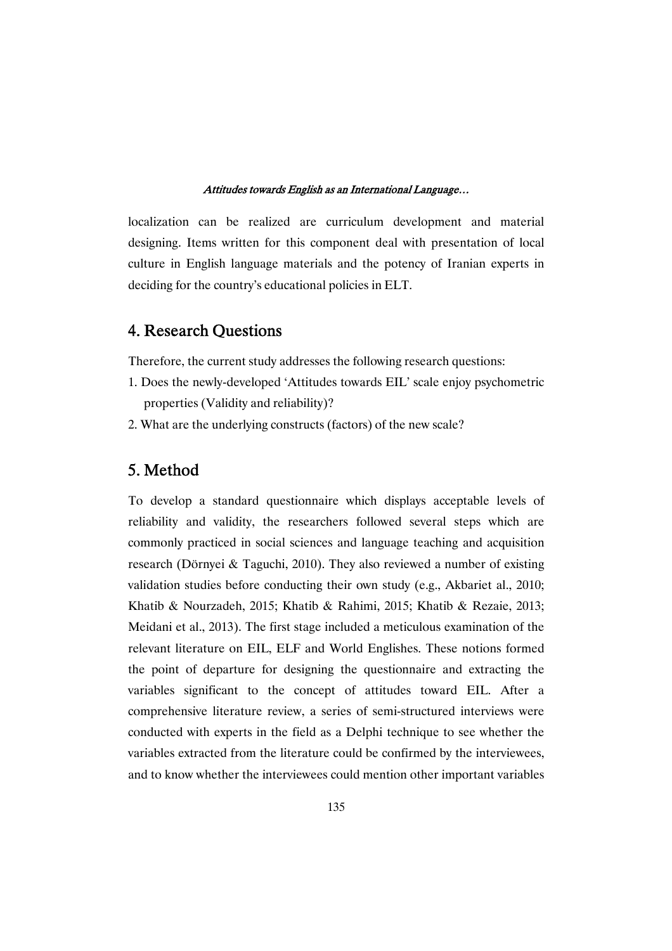localization can be realized are curriculum development and material designing. Items written for this component deal with presentation of local culture in English language materials and the potency of Iranian experts in deciding for the country's educational policies in ELT.

## 4. Research Ouestions

Therefore, the current study addresses the following research questions:

- 1. Does the newly-developed 'Attitudes towards EIL' scale enjoy psychometric properties (Validity and reliability)?
- 2. What are the underlying constructs (factors) of the new scale?

## 5. Method

To develop a standard questionnaire which displays acceptable levels of reliability and validity, the researchers followed several steps which are commonly practiced in social sciences and language teaching and acquisition research (Dörnyei & Taguchi, 2010). They also reviewed a number of existing validation studies before conducting their own study (e.g., Akbariet al., 2010; Khatib & Nourzadeh, 2015; Khatib & Rahimi, 2015; Khatib & Rezaie, 2013; Meidani et al., 2013). The first stage included a meticulous examination of the relevant literature on EIL, ELF and World Englishes. These notions formed the point of departure for designing the questionnaire and extracting the variables significant to the concept of attitudes toward EIL. After a comprehensive literature review, a series of semi-structured interviews were conducted with experts in the field as a Delphi technique to see whether the variables extracted from the literature could be confirmed by the interviewees, and to know whether the interviewees could mention other important variables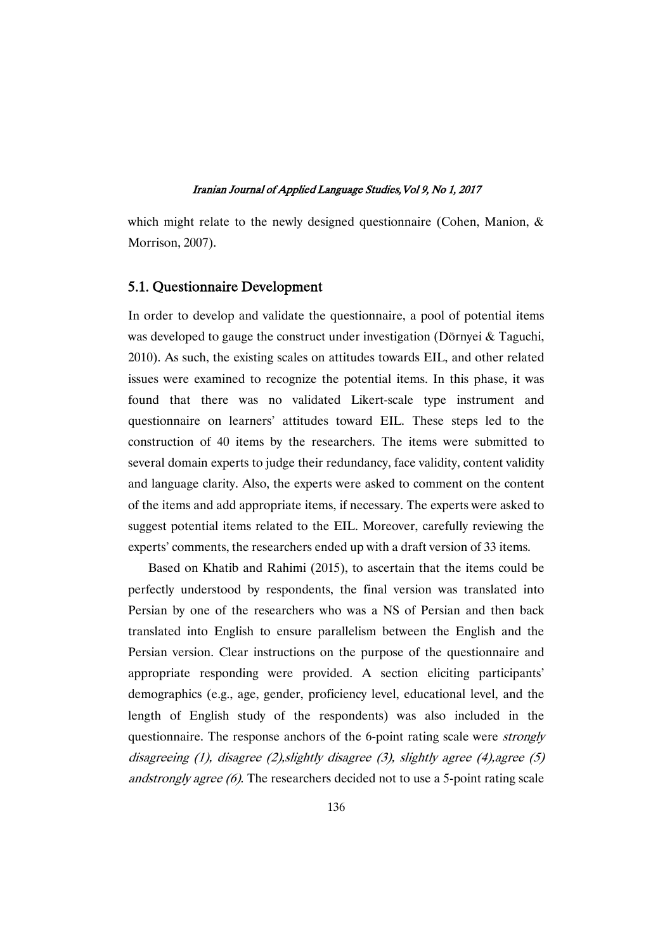which might relate to the newly designed questionnaire (Cohen, Manion, & Morrison, 2007).

### 5.1. Questionnaire Development

In order to develop and validate the questionnaire, a pool of potential items was developed to gauge the construct under investigation (Dörnyei & Taguchi, 2010). As such, the existing scales on attitudes towards EIL, and other related issues were examined to recognize the potential items. In this phase, it was found that there was no validated Likert-scale type instrument and questionnaire on learners' attitudes toward EIL. These steps led to the construction of 40 items by the researchers. The items were submitted to several domain experts to judge their redundancy, face validity, content validity and language clarity. Also, the experts were asked to comment on the content of the items and add appropriate items, if necessary. The experts were asked to suggest potential items related to the EIL. Moreover, carefully reviewing the experts' comments, the researchers ended up with a draft version of 33 items.

Based on Khatib and Rahimi (2015), to ascertain that the items could be perfectly understood by respondents, the final version was translated into Persian by one of the researchers who was a NS of Persian and then back translated into English to ensure parallelism between the English and the Persian version. Clear instructions on the purpose of the questionnaire and appropriate responding were provided. A section eliciting participants' demographics (e.g., age, gender, proficiency level, educational level, and the length of English study of the respondents) was also included in the questionnaire. The response anchors of the 6-point rating scale were strongly disagreeing (1), disagree (2), slightly disagree (3), slightly agree (4), agree (5) andstrongly agree (6). The researchers decided not to use a 5-point rating scale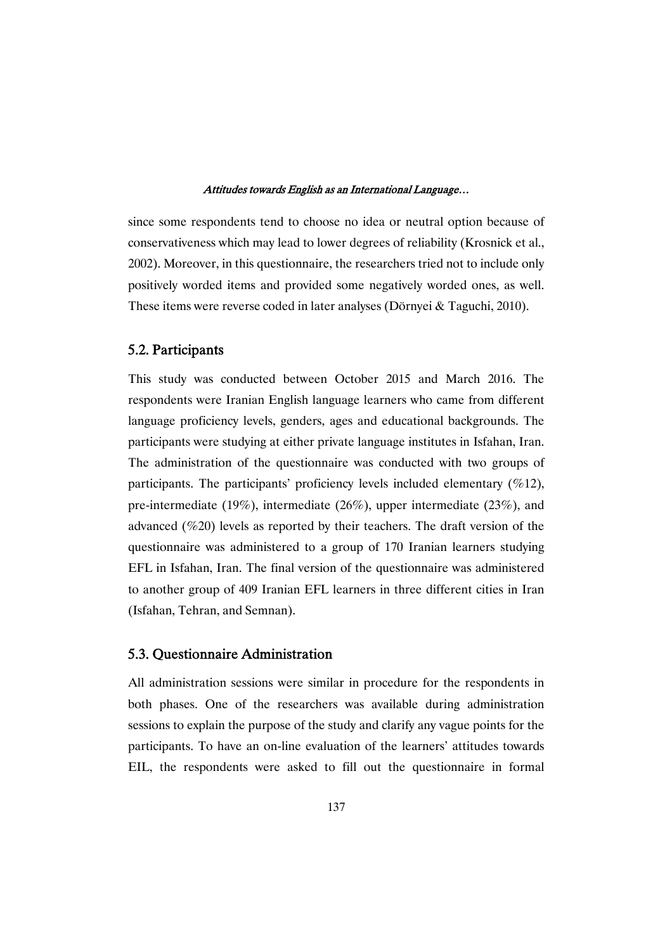since some respondents tend to choose no idea or neutral option because of conservativeness which may lead to lower degrees of reliability (Krosnick et al., 2002). Moreover, in this questionnaire, the researchers tried not to include only positively worded items and provided some negatively worded ones, as well. These items were reverse coded in later analyses (Dörnyei & Taguchi, 2010).

## 5.2. Participants

This study was conducted between October 2015 and March 2016. The respondents were Iranian English language learners who came from different language proficiency levels, genders, ages and educational backgrounds. The participants were studying at either private language institutes in Isfahan, Iran. The administration of the questionnaire was conducted with two groups of participants. The participants' proficiency levels included elementary  $(\%12)$ , pre-intermediate (19%), intermediate (26%), upper intermediate (23%), and advanced (%20) levels as reported by their teachers. The draft version of the questionnaire was administered to a group of 170 Iranian learners studying EFL in Isfahan, Iran. The final version of the questionnaire was administered to another group of 409 Iranian EFL learners in three different cities in Iran (Isfahan, Tehran, and Semnan).

## 5.3. Questionnaire Administration

All administration sessions were similar in procedure for the respondents in both phases. One of the researchers was available during administration sessions to explain the purpose of the study and clarify any vague points for the participants. To have an on-line evaluation of the learners' attitudes towards EIL, the respondents were asked to fill out the questionnaire in formal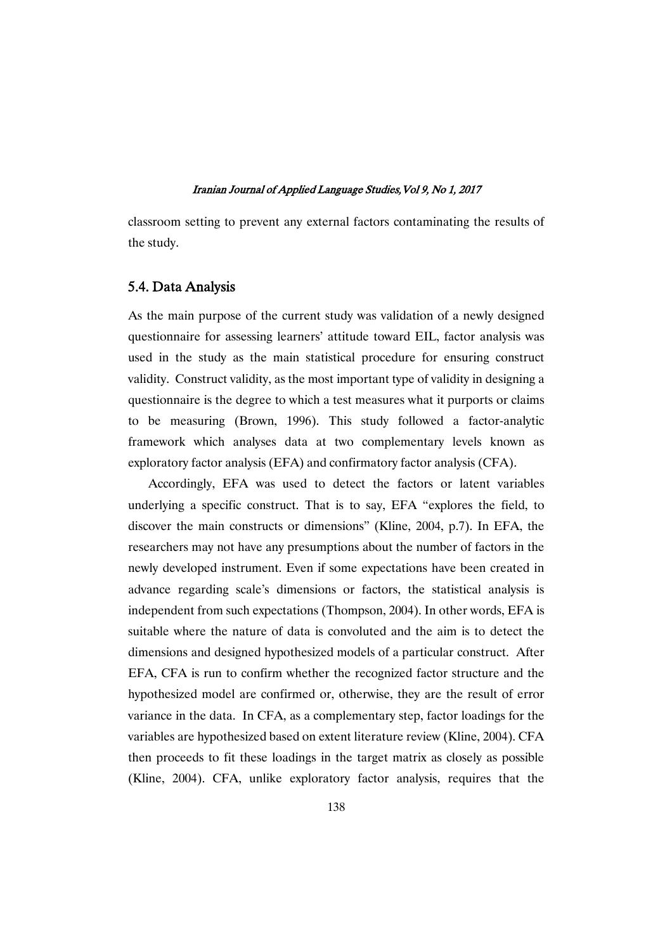classroom setting to prevent any external factors contaminating the results of the study.

### 5.4. Data Analysis

As the main purpose of the current study was validation of a newly designed questionnaire for assessing learners' attitude toward EIL, factor analysis was used in the study as the main statistical procedure for ensuring construct validity. Construct validity, as the most important type of validity in designing a questionnaire is the degree to which a test measures what it purports or claims to be measuring (Brown, 1996). This study followed a factor-analytic framework which analyses data at two complementary levels known as exploratory factor analysis (EFA) and confirmatory factor analysis (CFA).

Accordingly, EFA was used to detect the factors or latent variables underlying a specific construct. That is to say, EFA "explores the field, to discover the main constructs or dimensions" (Kline, 2004, p.7). In EFA, the researchers may not have any presumptions about the number of factors in the newly developed instrument. Even if some expectations have been created in advance regarding scale's dimensions or factors, the statistical analysis is independent from such expectations (Thompson, 2004). In other words, EFA is suitable where the nature of data is convoluted and the aim is to detect the dimensions and designed hypothesized models of a particular construct. After EFA, CFA is run to confirm whether the recognized factor structure and the hypothesized model are confirmed or, otherwise, they are the result of error variance in the data. In CFA, as a complementary step, factor loadings for the variables are hypothesized based on extent literature review (Kline, 2004). CFA then proceeds to fit these loadings in the target matrix as closely as possible (Kline, 2004). CFA, unlike exploratory factor analysis, requires that the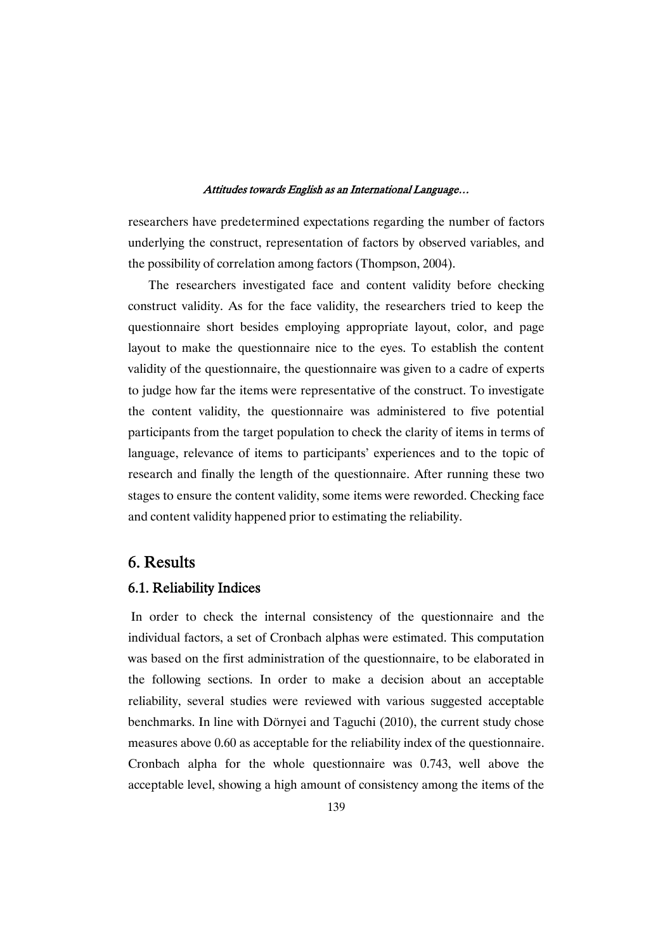researchers have predetermined expectations regarding the number of factors underlying the construct, representation of factors by observed variables, and the possibility of correlation among factors (Thompson, 2004).

The researchers investigated face and content validity before checking construct validity. As for the face validity, the researchers tried to keep the questionnaire short besides employing appropriate layout, color, and page layout to make the questionnaire nice to the eyes. To establish the content validity of the questionnaire, the questionnaire was given to a cadre of experts to judge how far the items were representative of the construct. To investigate the content validity, the questionnaire was administered to five potential participants from the target population to check the clarity of items in terms of language, relevance of items to participants' experiences and to the topic of research and finally the length of the questionnaire. After running these two stages to ensure the content validity, some items were reworded. Checking face and content validity happened prior to estimating the reliability.

## 6. Results

### 6.1. Reliability Indices

In order to check the internal consistency of the questionnaire and the individual factors, a set of Cronbach alphas were estimated. This computation was based on the first administration of the questionnaire, to be elaborated in the following sections. In order to make a decision about an acceptable reliability, several studies were reviewed with various suggested acceptable benchmarks. In line with Dörnyei and Taguchi (2010), the current study chose measures above 0.60 as acceptable for the reliability index of the questionnaire. Cronbach alpha for the whole questionnaire was 0.743, well above the acceptable level, showing a high amount of consistency among the items of the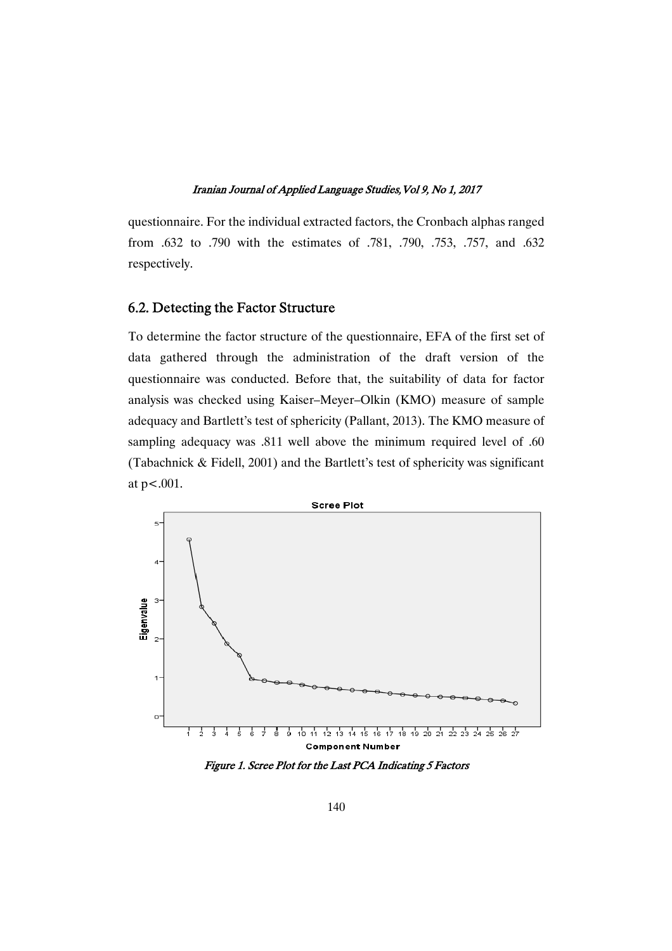questionnaire. For the individual extracted factors, the Cronbach alphas ranged from .632 to .790 with the estimates of .781, .790, .753, .757, and .632 respectively.

### 6.2. Detecting the Factor Structure

To determine the factor structure of the questionnaire, EFA of the first set of data gathered through the administration of the draft version of the questionnaire was conducted. Before that, the suitability of data for factor analysis was checked using Kaiser–Meyer–Olkin (KMO) measure of sample adequacy and Bartlett's test of sphericity (Pallant, 2013). The KMO measure of sampling adequacy was .811 well above the minimum required level of .60 (Tabachnick & Fidell, 2001) and the Bartlett's test of sphericity was significant at p<.001.



Figure 1. Scree Plot for the Last PCA Indicating 5 Factors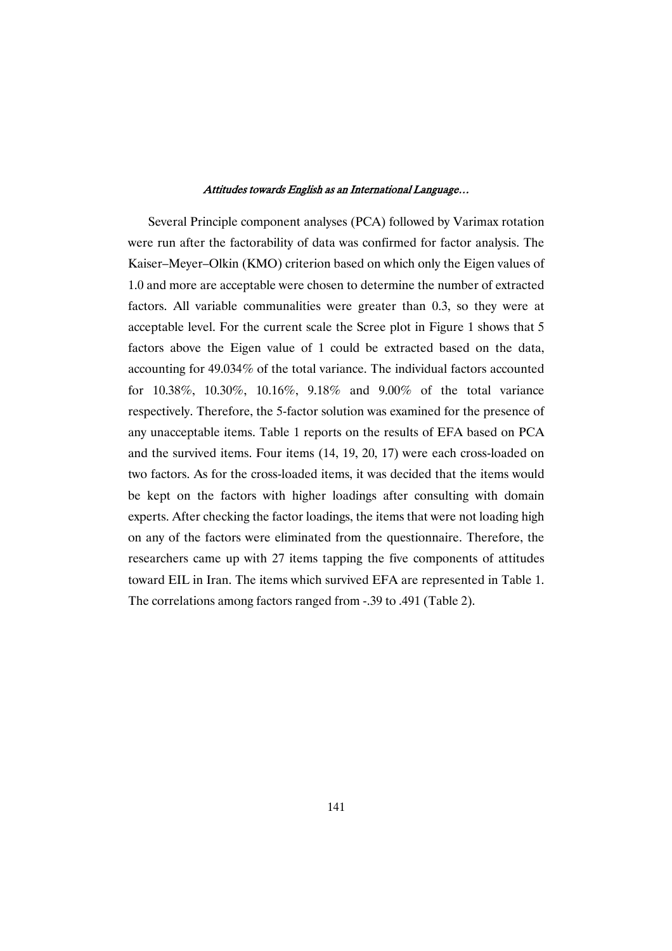Several Principle component analyses (PCA) followed by Varimax rotation were run after the factorability of data was confirmed for factor analysis. The Kaiser–Meyer–Olkin (KMO) criterion based on which only the Eigen values of 1.0 and more are acceptable were chosen to determine the number of extracted factors. All variable communalities were greater than 0.3, so they were at acceptable level. For the current scale the Scree plot in Figure 1 shows that 5 factors above the Eigen value of 1 could be extracted based on the data, accounting for 49.034% of the total variance. The individual factors accounted for 10.38%, 10.30%, 10.16%, 9.18% and 9.00% of the total variance respectively. Therefore, the 5-factor solution was examined for the presence of any unacceptable items. Table 1 reports on the results of EFA based on PCA and the survived items. Four items (14, 19, 20, 17) were each cross-loaded on two factors. As for the cross-loaded items, it was decided that the items would be kept on the factors with higher loadings after consulting with domain experts. After checking the factor loadings, the items that were not loading high on any of the factors were eliminated from the questionnaire. Therefore, the researchers came up with 27 items tapping the five components of attitudes toward EIL in Iran. The items which survived EFA are represented in Table 1. The correlations among factors ranged from -.39 to .491 (Table 2).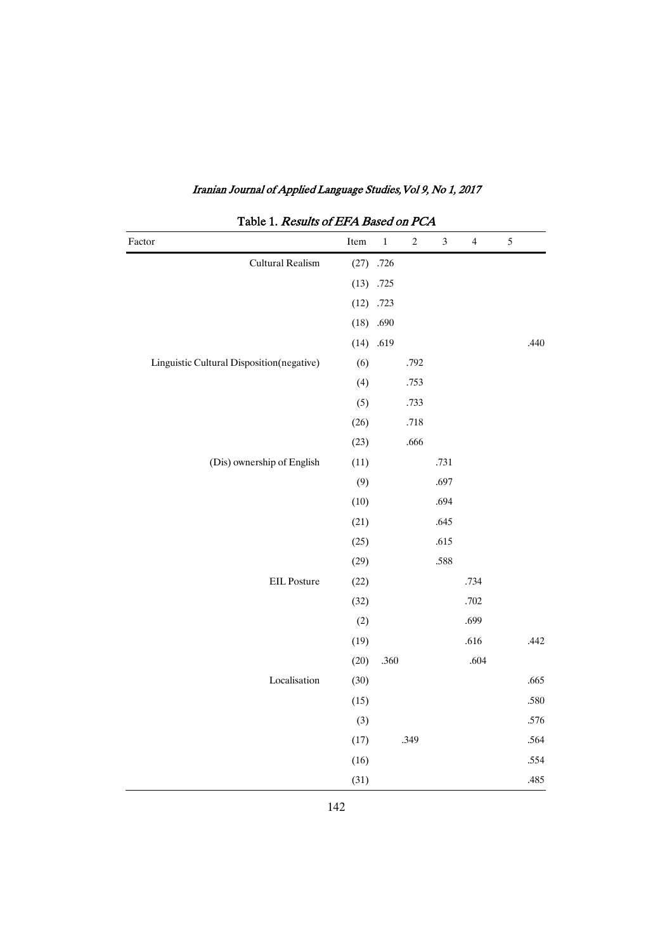| Factor                                    | Item | $\,1\,$     | $\sqrt{2}$ | $\ensuremath{\mathfrak{Z}}$ | $\overline{4}$ | $\sqrt{5}$ |
|-------------------------------------------|------|-------------|------------|-----------------------------|----------------|------------|
| Cultural Realism                          |      | $(27)$ .726 |            |                             |                |            |
|                                           |      | $(13)$ .725 |            |                             |                |            |
|                                           |      | $(12)$ .723 |            |                             |                |            |
|                                           |      | $(18)$ .690 |            |                             |                |            |
|                                           | (14) | .619        |            |                             |                | .440       |
| Linguistic Cultural Disposition(negative) | (6)  |             | .792       |                             |                |            |
|                                           | (4)  |             | .753       |                             |                |            |
|                                           | (5)  |             | .733       |                             |                |            |
|                                           | (26) |             | $.718\,$   |                             |                |            |
|                                           | (23) |             | .666       |                             |                |            |
| (Dis) ownership of English                | (11) |             |            | .731                        |                |            |
|                                           | (9)  |             |            | .697                        |                |            |
|                                           | (10) |             |            | .694                        |                |            |
|                                           | (21) |             |            | .645                        |                |            |
|                                           | (25) |             |            | .615                        |                |            |
|                                           | (29) |             |            | .588                        |                |            |
| EIL Posture                               | (22) |             |            |                             | .734           |            |
|                                           | (32) |             |            |                             | .702           |            |
|                                           | (2)  |             |            |                             | .699           |            |
|                                           | (19) |             |            |                             | .616           | .442       |
|                                           | (20) | .360        |            |                             | .604           |            |
| Localisation                              | (30) |             |            |                             |                | .665       |
|                                           | (15) |             |            |                             |                | .580       |
|                                           | (3)  |             |            |                             |                | .576       |
|                                           | (17) |             | .349       |                             |                | .564       |
|                                           | (16) |             |            |                             |                | .554       |
|                                           | (31) |             |            |                             |                | .485       |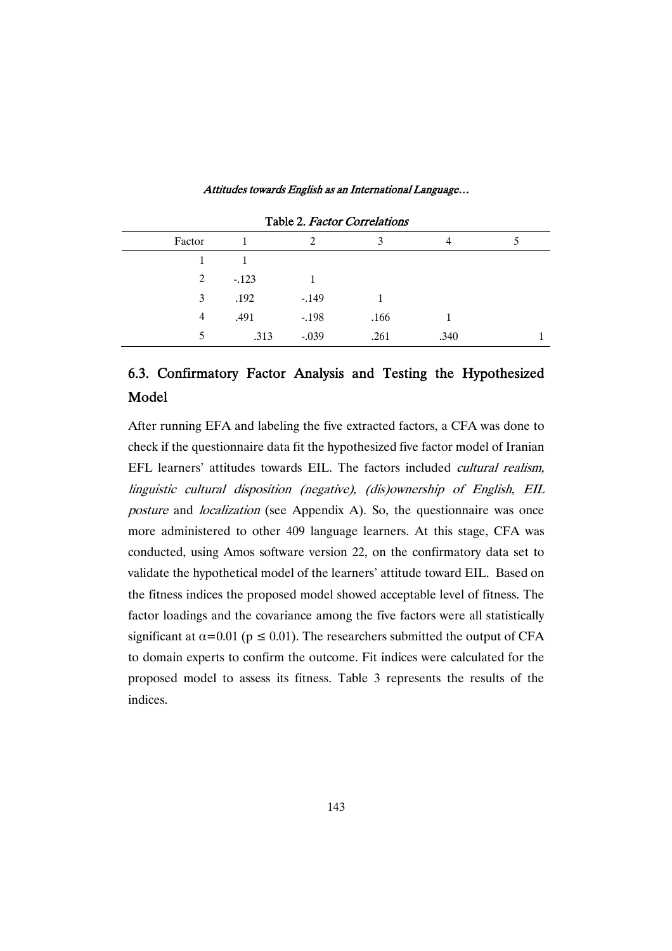| Factor |        | 2       | 3    | 4    |  |
|--------|--------|---------|------|------|--|
|        |        |         |      |      |  |
| 2      | $-123$ |         |      |      |  |
| 3      | .192   | $-149$  |      |      |  |
| 4      | .491   | $-.198$ | .166 |      |  |
| 5      | .313   | $-.039$ | .261 | .340 |  |

Table 2. Factor Correlations

# 6.3. Confirmatory Factor Analysis and Testing the Hypothesized Model�

After running EFA and labeling the five extracted factors, a CFA was done to check if the questionnaire data fit the hypothesized five factor model of Iranian EFL learners' attitudes towards EIL. The factors included cultural realism, linguistic cultural disposition (negative), (dis)ownership of English, EIL posture and localization (see Appendix A). So, the questionnaire was once more administered to other 409 language learners. At this stage, CFA was conducted, using Amos software version 22, on the confirmatory data set to validate the hypothetical model of the learners' attitude toward EIL. Based on the fitness indices the proposed model showed acceptable level of fitness. The factor loadings and the covariance among the five factors were all statistically significant at  $\alpha$ =0.01 (p  $\leq$  0.01). The researchers submitted the output of CFA to domain experts to confirm the outcome. Fit indices were calculated for the proposed model to assess its fitness. Table 3 represents the results of the indices.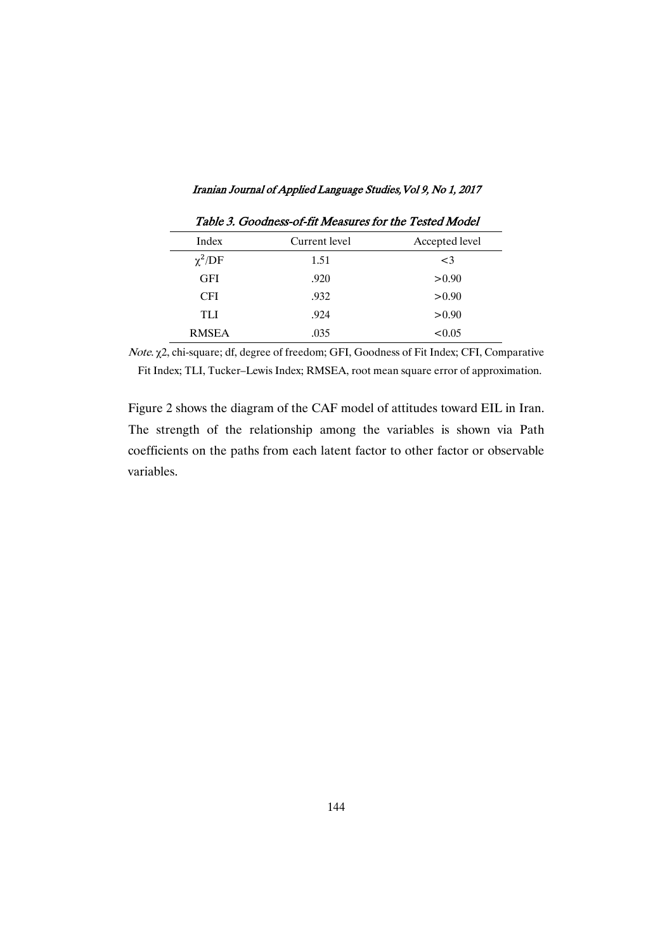| Iranian Journal of Applied Language Studies, Vol 9, No 1, 2017 |  |  |
|----------------------------------------------------------------|--|--|
|                                                                |  |  |

|              | 1 avic 9. Obbuiless-01-11 incasures for the Testeu mouch |                |
|--------------|----------------------------------------------------------|----------------|
| Index        | Current level                                            | Accepted level |
| $\chi^2$ /DF | 1.51                                                     | $\leq$ 3       |
| <b>GFI</b>   | .920                                                     | > 0.90         |
| <b>CFI</b>   | .932                                                     | > 0.90         |
| TLI          | .924                                                     | > 0.90         |
| <b>RMSEA</b> | .035                                                     | < 0.05         |

Table 3. Goodness-of-fit Measures for the Tested Model

Note. �2, chi-square; df, degree of freedom; GFI, Goodness of Fit Index; CFI, Comparative Fit Index; TLI, Tucker–Lewis Index; RMSEA, root mean square error of approximation.

Figure 2 shows the diagram of the CAF model of attitudes toward EIL in Iran. The strength of the relationship among the variables is shown via Path coefficients on the paths from each latent factor to other factor or observable variables.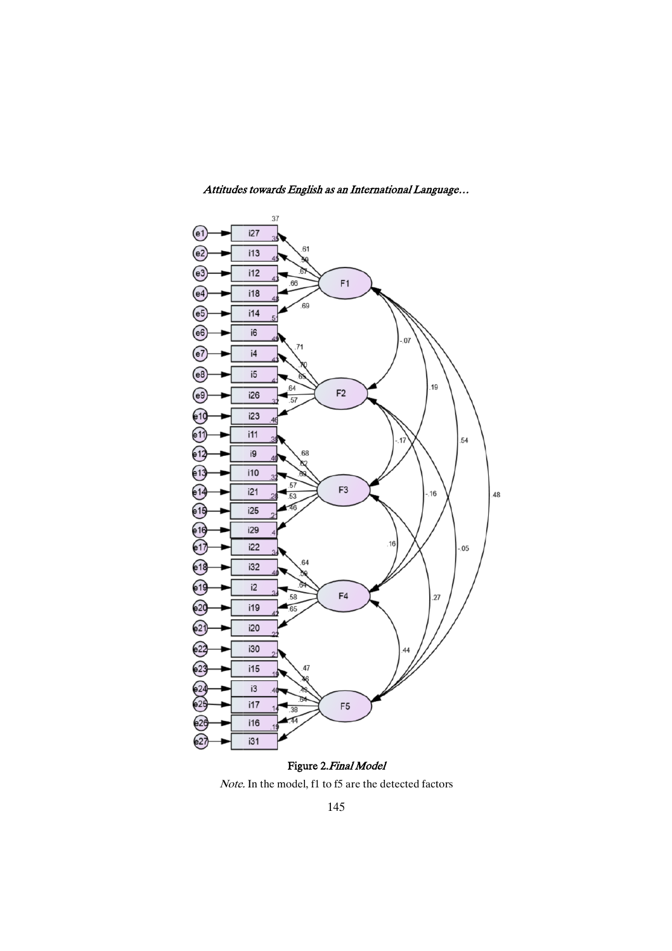

Attitudes towards English as an International Language...

Note. In the model, f1 to f5 are the detected factors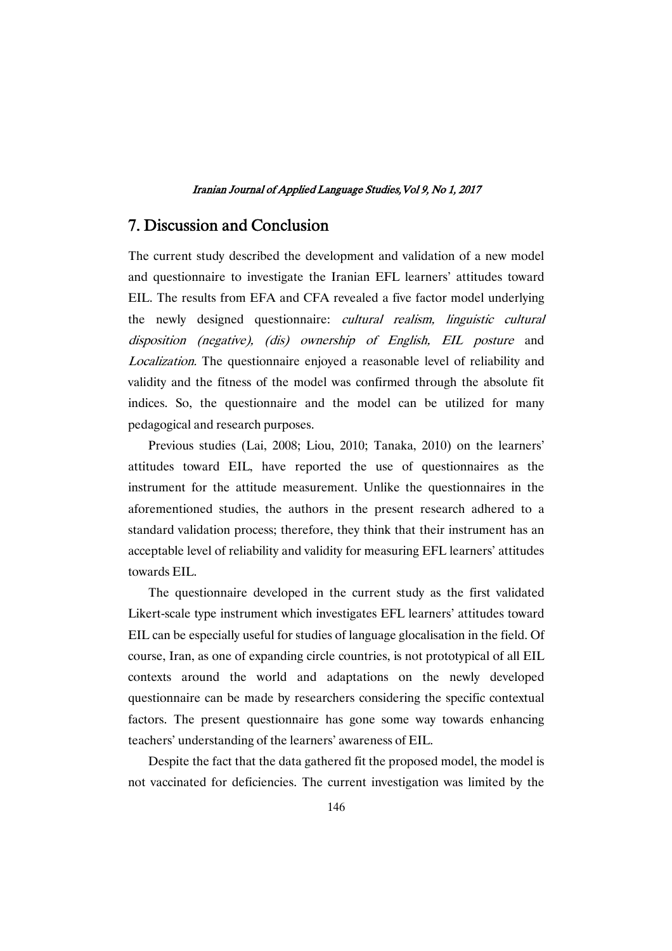## 7. Discussion and Conclusion

The current study described the development and validation of a new model and questionnaire to investigate the Iranian EFL learners' attitudes toward EIL. The results from EFA and CFA revealed a five factor model underlying the newly designed questionnaire: cultural realism, linguistic cultural disposition (negative), (dis) ownership of English, EIL posture and Localization. The questionnaire enjoyed a reasonable level of reliability and validity and the fitness of the model was confirmed through the absolute fit indices. So, the questionnaire and the model can be utilized for many pedagogical and research purposes.

Previous studies (Lai, 2008; Liou, 2010; Tanaka, 2010) on the learners' attitudes toward EIL, have reported the use of questionnaires as the instrument for the attitude measurement. Unlike the questionnaires in the aforementioned studies, the authors in the present research adhered to a standard validation process; therefore, they think that their instrument has an acceptable level of reliability and validity for measuring EFL learners' attitudes towards EIL.

The questionnaire developed in the current study as the first validated Likert-scale type instrument which investigates EFL learners' attitudes toward EIL can be especially useful for studies of language glocalisation in the field. Of course, Iran, as one of expanding circle countries, is not prototypical of all EIL contexts around the world and adaptations on the newly developed questionnaire can be made by researchers considering the specific contextual factors. The present questionnaire has gone some way towards enhancing teachers' understanding of the learners' awareness of EIL.

Despite the fact that the data gathered fit the proposed model, the model is not vaccinated for deficiencies. The current investigation was limited by the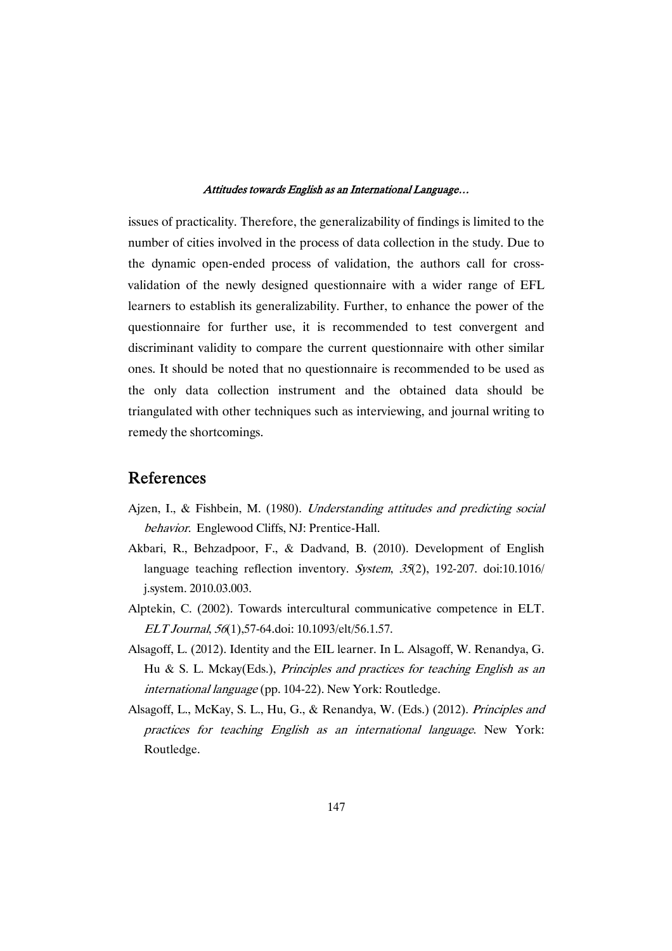issues of practicality. Therefore, the generalizability of findings is limited to the number of cities involved in the process of data collection in the study. Due to the dynamic open-ended process of validation, the authors call for crossvalidation of the newly designed questionnaire with a wider range of EFL learners to establish its generalizability. Further, to enhance the power of the questionnaire for further use, it is recommended to test convergent and discriminant validity to compare the current questionnaire with other similar ones. It should be noted that no questionnaire is recommended to be used as the only data collection instrument and the obtained data should be triangulated with other techniques such as interviewing, and journal writing to remedy the shortcomings.

## **References**

- Ajzen, I., & Fishbein, M. (1980). Understanding attitudes and predicting social behavior. Englewood Cliffs, NJ: Prentice-Hall.
- Akbari, R., Behzadpoor, F., & Dadvand, B. (2010). Development of English language teaching reflection inventory. System, 35(2), 192-207. doi:10.1016/ j.system. 2010.03.003.
- Alptekin, C. (2002). Towards intercultural communicative competence in ELT. ELT Journal, <sup>56</sup>(1),57-64.doi: 10.1093/elt/56.1.57.
- Alsagoff, L. (2012). Identity and the EIL learner. In L. Alsagoff, W. Renandya, G. Hu & S. L. Mckay(Eds.), Principles and practices for teaching English as an international language (pp. 104-22). New York: Routledge.
- Alsagoff, L., McKay, S. L., Hu, G., & Renandya, W. (Eds.) (2012). Principles and practices for teaching English as an international language. New York: Routledge.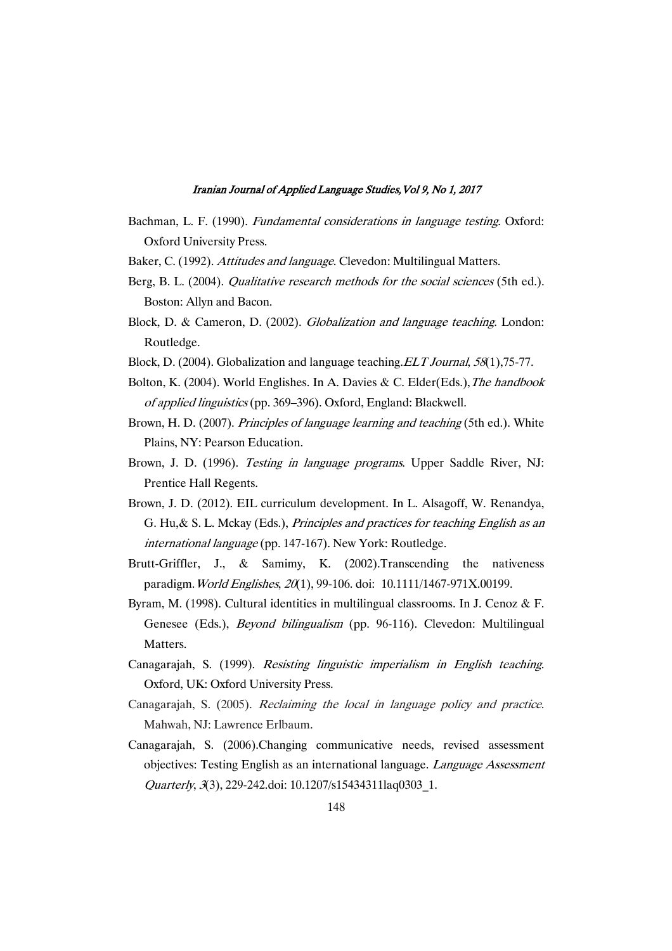- Bachman, L. F. (1990). *Fundamental considerations in language testing*. Oxford: Oxford University Press.
- Baker, C. (1992). Attitudes and language. Clevedon: Multilingual Matters.
- Berg, B. L. (2004). *Qualitative research methods for the social sciences* (5th ed.). Boston: Allyn and Bacon.
- Block, D. & Cameron, D. (2002). Globalization and language teaching. London: Routledge.
- Block, D. (2004). Globalization and language teaching. ELT Journal, 58(1), 75-77.
- Bolton, K. (2004). World Englishes. In A. Davies & C. Elder(Eds.),The handbook of applied linguistics (pp. 369–396). Oxford, England: Blackwell.
- Brown, H. D. (2007). *Principles of language learning and teaching* (5th ed.). White Plains, NY: Pearson Education.
- Brown, J. D. (1996). Testing in language programs. Upper Saddle River, NJ: Prentice Hall Regents.
- Brown, J. D. (2012). EIL curriculum development. In L. Alsagoff, W. Renandya, G. Hu,& S. L. Mckay (Eds.), Principles and practices for teaching English as an international language (pp. 147-167). New York: Routledge.
- Brutt-Griffler, J., & Samimy, K. (2002).Transcending the nativeness paradigm. World Englishes, 20(1), 99-106. doi: 10.1111/1467-971X.00199.
- Byram, M. (1998). Cultural identities in multilingual classrooms. In J. Cenoz & F. Genesee (Eds.), Beyond bilingualism (pp. 96-116). Clevedon: Multilingual Matters.
- Canagarajah, S. (1999). Resisting linguistic imperialism in English teaching. Oxford, UK: Oxford University Press.
- Canagarajah, S. (2005). Reclaiming the local in language policy and practice. Mahwah, NJ: Lawrence Erlbaum.
- Canagarajah, S. (2006).Changing communicative needs, revised assessment objectives: Testing English as an international language. Language Assessment Quarterly, <sup>3</sup>(3), 229-242.doi: 10.1207/s15434311laq0303\_1.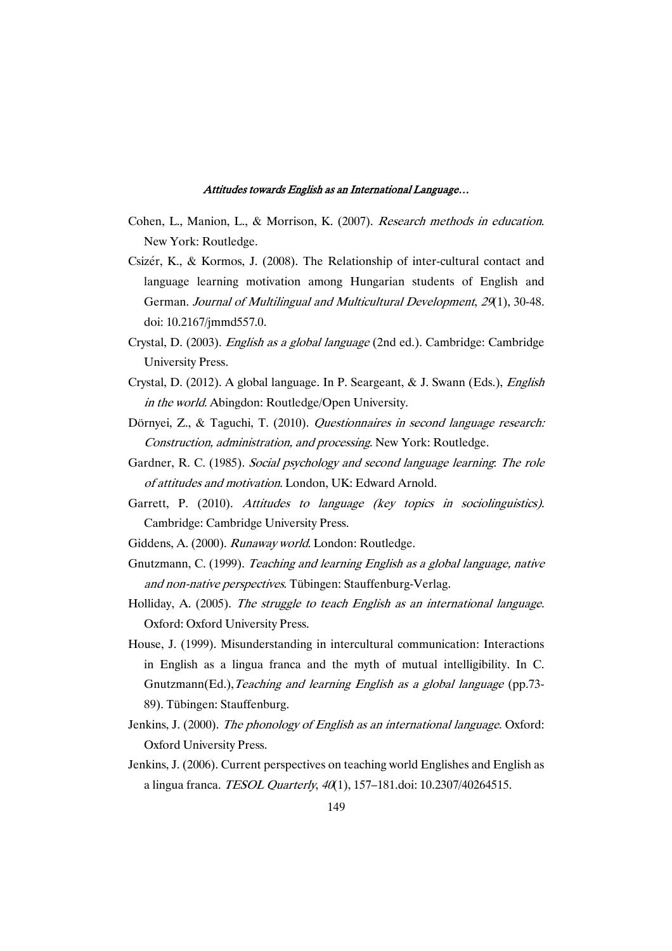- Cohen, L., Manion, L., & Morrison, K. (2007). Research methods in education. New York: Routledge.
- Csizér, K., & Kormos, J. (2008). The Relationship of inter-cultural contact and language learning motivation among Hungarian students of English and German. Journal of Multilingual and Multicultural Development, <sup>29</sup>(1), 30-48. doi: 10.2167/jmmd557.0.
- Crystal, D. (2003). English as <sup>a</sup> global language (2nd ed.). Cambridge: Cambridge University Press.
- Crystal, D. (2012). A global language. In P. Seargeant, & J. Swann (Eds.), English in the world. Abingdon: Routledge/Open University.
- Dörnyei, Z., & Taguchi, T. (2010). Questionnaires in second language research: Construction, administration, and processing. New York: Routledge.
- Gardner, R. C. (1985). Social psychology and second language learning: The role of attitudes and motivation. London, UK: Edward Arnold.
- Garrett, P. (2010). Attitudes to language (key topics in sociolinguistics). Cambridge: Cambridge University Press.
- Giddens, A. (2000). Runaway world. London: Routledge.
- Gnutzmann, C. (1999). Teaching and learning English as <sup>a</sup> global language, native and non-native perspectives. Tübingen: Stauffenburg-Verlag.
- Holliday, A. (2005). The struggle to teach English as an international language. Oxford: Oxford University Press.
- House, J. (1999). Misunderstanding in intercultural communication: Interactions in English as a lingua franca and the myth of mutual intelligibility. In C. Gnutzmann(Ed.), Teaching and learning English as a global language (pp.73-89). Tübingen: Stauffenburg.
- Jenkins, J. (2000). The phonology of English as an international language. Oxford: Oxford University Press.
- Jenkins, J. (2006). Current perspectives on teaching world Englishes and English as a lingua franca. TESOL Quarterly, <sup>40</sup>(1), 157–181.doi: 10.2307/40264515.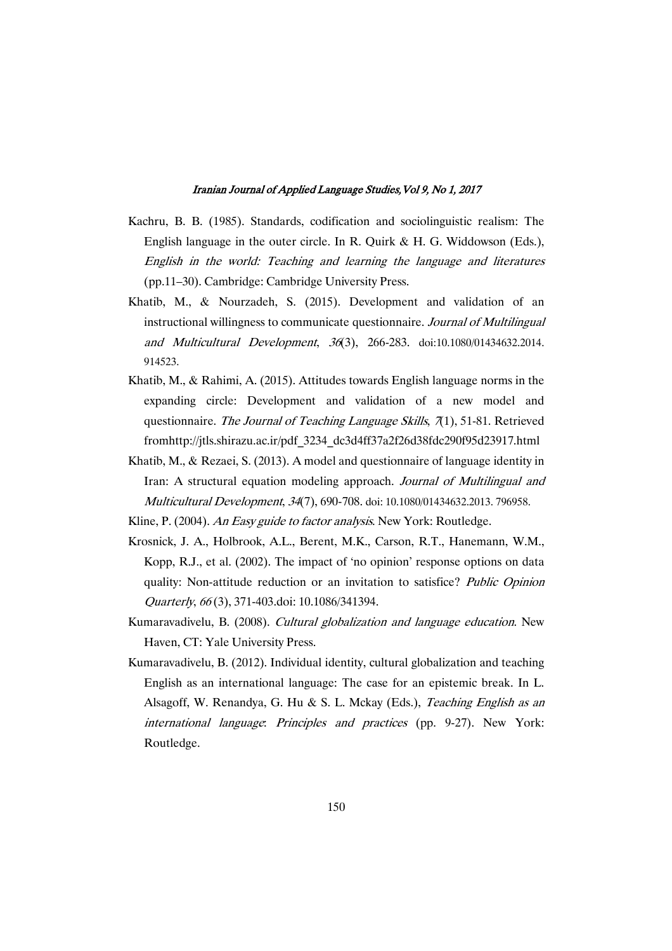- Kachru, B. B. (1985). Standards, codification and sociolinguistic realism: The English language in the outer circle. In R. Quirk & H. G. Widdowson (Eds.), English in the world: Teaching and learning the language and literatures (pp.11–30). Cambridge: Cambridge University Press.
- Khatib, M., & Nourzadeh, S. (2015). Development and validation of an instructional willingness to communicate questionnaire. Journal of Multilingual and Multicultural Development, <sup>36</sup>(3), 266-283. doi:10.1080/01434632.2014. 914523.
- Khatib, M., & Rahimi, A. (2015). Attitudes towards English language norms in the expanding circle: Development and validation of a new model and questionnaire. The Journal of Teaching Language Skills, 7(1), 51-81. Retrieved fromhttp://jtls.shirazu.ac.ir/pdf\_3234\_dc3d4ff37a2f26d38fdc290f95d23917.html
- Khatib, M., & Rezaei, S. (2013). A model and questionnaire of language identity in Iran: A structural equation modeling approach. Journal of Multilingual and Multicultural Development, <sup>34</sup>(7), 690-708. doi: 10.1080/01434632.2013. 796958.

- Krosnick, J. A., Holbrook, A.L., Berent, M.K., Carson, R.T., Hanemann, W.M., Kopp, R.J., et al. (2002). The impact of 'no opinion' response options on data quality: Non-attitude reduction or an invitation to satisfice? Public Opinion Quarterly, <sup>66</sup> (3), 371-403.doi: 10.1086/341394.
- Kumaravadivelu, B. (2008). Cultural globalization and language education. New Haven, CT: Yale University Press.
- Kumaravadivelu, B. (2012). Individual identity, cultural globalization and teaching English as an international language: The case for an epistemic break. In L. Alsagoff, W. Renandya, G. Hu & S. L. Mckay (Eds.), Teaching English as an international language: Principles and practices (pp. 9-27). New York: Routledge.

Kline, P. (2004). An Easy guide to factor analysis. New York: Routledge.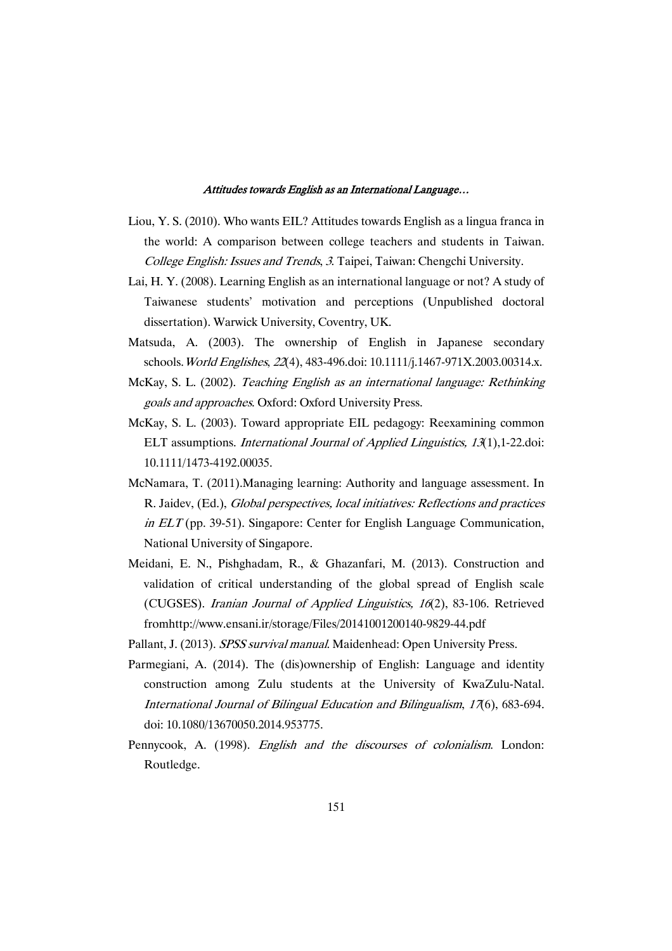- Liou, Y. S. (2010). Who wants EIL? Attitudes towards English as a lingua franca in the world: A comparison between college teachers and students in Taiwan. College English: Issues and Trends, <sup>3</sup>. Taipei, Taiwan: Chengchi University.
- Lai, H. Y. (2008). Learning English as an international language or not? A study of Taiwanese students' motivation and perceptions (Unpublished doctoral dissertation). Warwick University, Coventry, UK.
- Matsuda, A. (2003). The ownership of English in Japanese secondary schools.World Englishes, <sup>22</sup>(4), 483-496.doi: 10.1111/j.1467-971X.2003.00314.x.
- McKay, S. L. (2002). Teaching English as an international language: Rethinking goals and approaches. Oxford: Oxford University Press.
- McKay, S. L. (2003). Toward appropriate EIL pedagogy: Reexamining common ELT assumptions. International Journal of Applied Linguistics, <sup>13</sup>(1),1-22.doi: 10.1111/1473-4192.00035.
- McNamara, T. (2011).Managing learning: Authority and language assessment. In R. Jaidev, (Ed.), Global perspectives, local initiatives: Reflections and practices in ELT (pp. 39-51). Singapore: Center for English Language Communication, National University of Singapore.
- Meidani, E. N., Pishghadam, R., & Ghazanfari, M. (2013). Construction and validation of critical understanding of the global spread of English scale (CUGSES). Iranian Journal of Applied Linguistics, <sup>16</sup>(2), 83-106. Retrieved fromhttp://www.ensani.ir/storage/Files/20141001200140-9829-44.pdf
- Pallant, J. (2013). SPSS survival manual. Maidenhead: Open University Press.
- Parmegiani, A. (2014). The (dis)ownership of English: Language and identity construction among Zulu students at the University of KwaZulu-Natal. International Journal of Bilingual Education and Bilingualism, <sup>17</sup>(6), 683-694. doi: 10.1080/13670050.2014.953775.
- Pennycook, A. (1998). English and the discourses of colonialism. London: Routledge.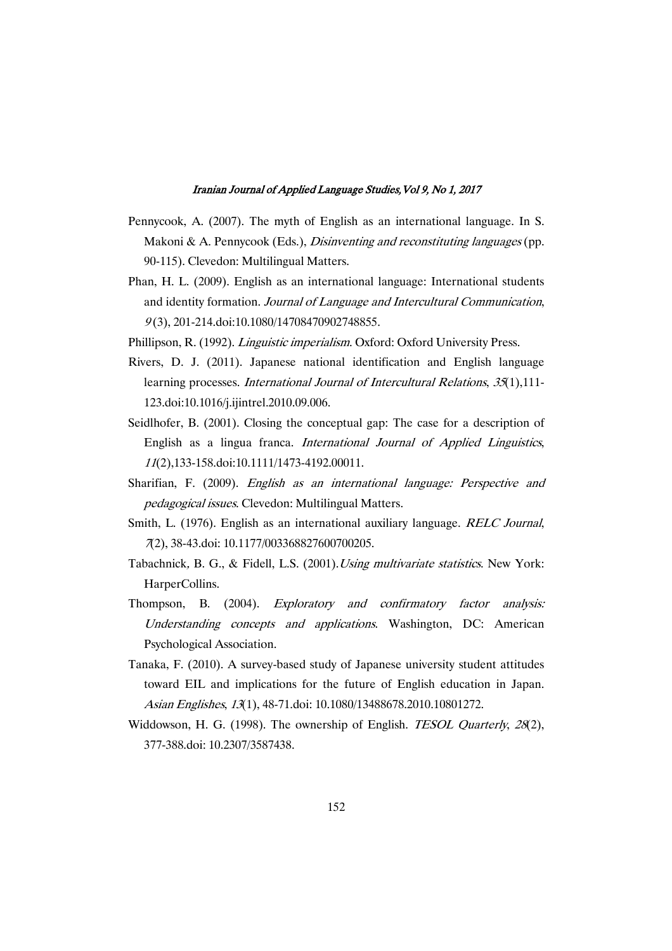- Pennycook, A. (2007). The myth of English as an international language. In S. Makoni & A. Pennycook (Eds.), *Disinventing and reconstituting languages* (pp. 90-115). Clevedon: Multilingual Matters.
- Phan, H. L. (2009). English as an international language: International students and identity formation. Journal of Language and Intercultural Communication, <sup>9</sup> (3), 201-214.doi:10.1080/14708470902748855.
- Phillipson, R. (1992). Linguistic imperialism. Oxford: Oxford University Press.
- Rivers, D. J. (2011). Japanese national identification and English language learning processes. International Journal of Intercultural Relations, 35(1), 111-123.doi:10.1016/j.ijintrel.2010.09.006.
- Seidlhofer, B. (2001). Closing the conceptual gap: The case for a description of English as a lingua franca. International Journal of Applied Linguistics, <sup>11</sup>(2),133-158.doi:10.1111/1473-4192.00011.
- Sharifian, F. (2009). English as an international language: Perspective and pedagogical issues. Clevedon: Multilingual Matters.
- Smith, L. (1976). English as an international auxiliary language. RELC Journal, <sup>7</sup>(2), 38-43.doi: 10.1177/003368827600700205.
- Tabachnick, B. G., & Fidell, L.S. (2001).Using multivariate statistics. New York: HarperCollins.
- Thompson, B. (2004). Exploratory and confirmatory factor analysis: Understanding concepts and applications. Washington, DC: American Psychological Association.
- Tanaka, F. (2010). A survey-based study of Japanese university student attitudes toward EIL and implications for the future of English education in Japan. Asian Englishes, <sup>13</sup>(1), 48-71.doi: 10.1080/13488678.2010.10801272.
- Widdowson, H. G. (1998). The ownership of English. *TESOL Quarterly, 28*(2), 377-388.doi: 10.2307/3587438.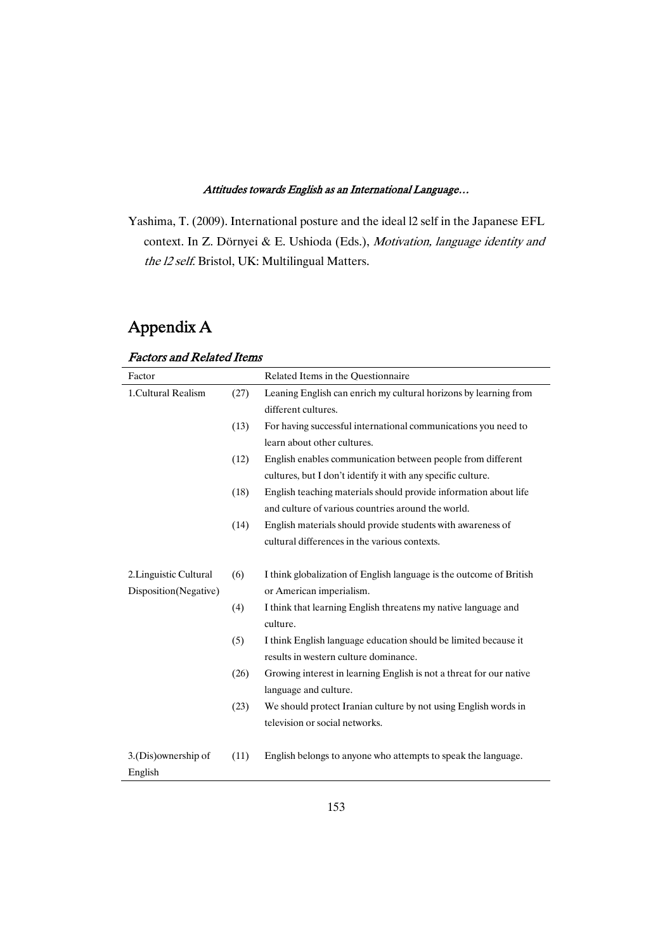Yashima, T. (2009). International posture and the ideal l2 self in the Japanese EFL context. In Z. Dörnyei & E. Ushioda (Eds.), Motivation, language identity and the l2 self. Bristol, UK: Multilingual Matters.

 $\overline{\phantom{0}}$ 

# Appendix A

## Factors and Related Items

| Factor                 |      | Related Items in the Questionnaire                                  |
|------------------------|------|---------------------------------------------------------------------|
| 1. Cultural Realism    | (27) | Leaning English can enrich my cultural horizons by learning from    |
|                        |      | different cultures.                                                 |
|                        | (13) | For having successful international communications you need to      |
|                        |      | learn about other cultures.                                         |
|                        | (12) | English enables communication between people from different         |
|                        |      | cultures, but I don't identify it with any specific culture.        |
|                        | (18) | English teaching materials should provide information about life    |
|                        |      | and culture of various countries around the world.                  |
|                        | (14) | English materials should provide students with awareness of         |
|                        |      | cultural differences in the various contexts.                       |
|                        |      |                                                                     |
| 2. Linguistic Cultural | (6)  | I think globalization of English language is the outcome of British |
| Disposition(Negative)  |      | or American imperialism.                                            |
|                        | (4)  | I think that learning English threatens my native language and      |
|                        |      | culture.                                                            |
|                        | (5)  | I think English language education should be limited because it     |
|                        |      | results in western culture dominance.                               |
|                        | (26) | Growing interest in learning English is not a threat for our native |
|                        |      | language and culture.                                               |
|                        | (23) | We should protect Iranian culture by not using English words in     |
|                        |      | television or social networks.                                      |
|                        |      |                                                                     |
| 3.(Dis)ownership of    | (11) | English belongs to anyone who attempts to speak the language.       |
| English                |      |                                                                     |